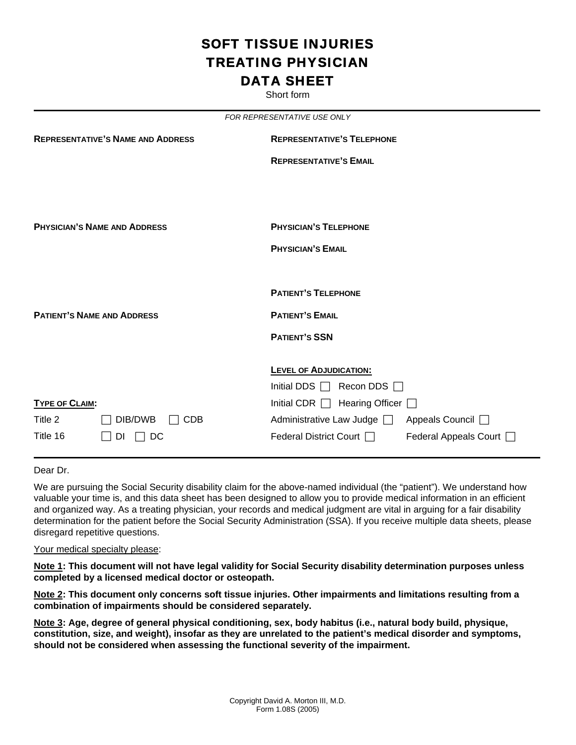# SOFT TISSUE INJURIES TREATING PHYSICIAN DATA SHEET

Short form

|                       |                                          | FOR REPRESENTATIVE USE ONLY                         |
|-----------------------|------------------------------------------|-----------------------------------------------------|
|                       | <b>REPRESENTATIVE'S NAME AND ADDRESS</b> | <b>REPRESENTATIVE'S TELEPHONE</b>                   |
|                       |                                          | <b>REPRESENTATIVE'S EMAIL</b>                       |
|                       |                                          |                                                     |
|                       | <b>PHYSICIAN'S NAME AND ADDRESS</b>      | <b>PHYSICIAN'S TELEPHONE</b>                        |
|                       |                                          | <b>PHYSICIAN'S EMAIL</b>                            |
|                       |                                          |                                                     |
|                       |                                          | <b>PATIENT'S TELEPHONE</b>                          |
|                       | <b>PATIENT'S NAME AND ADDRESS</b>        | <b>PATIENT'S EMAIL</b>                              |
|                       |                                          | <b>PATIENT'S SSN</b>                                |
|                       |                                          | <b>LEVEL OF ADJUDICATION:</b>                       |
|                       |                                          | Initial DDS $\Box$<br>Recon DDS $\Box$              |
| <b>TYPE OF CLAIM:</b> |                                          | Initial CDR $\Box$ Hearing Officer $\Box$           |
| Title 2               | DIB/DWB<br><b>CDB</b>                    | Administrative Law Judge and<br>Appeals Council □   |
| Title 16              | DC<br>DI.                                | Federal District Court  <br>Federal Appeals Court [ |

Dear Dr.

We are pursuing the Social Security disability claim for the above-named individual (the "patient"). We understand how valuable your time is, and this data sheet has been designed to allow you to provide medical information in an efficient and organized way. As a treating physician, your records and medical judgment are vital in arguing for a fair disability determination for the patient before the Social Security Administration (SSA). If you receive multiple data sheets, please disregard repetitive questions.

#### Your medical specialty please:

**Note 1: This document will not have legal validity for Social Security disability determination purposes unless completed by a licensed medical doctor or osteopath.** 

**Note 2: This document only concerns soft tissue injuries. Other impairments and limitations resulting from a combination of impairments should be considered separately.** 

**Note 3: Age, degree of general physical conditioning, sex, body habitus (i.e., natural body build, physique, constitution, size, and weight), insofar as they are unrelated to the patient's medical disorder and symptoms, should not be considered when assessing the functional severity of the impairment.**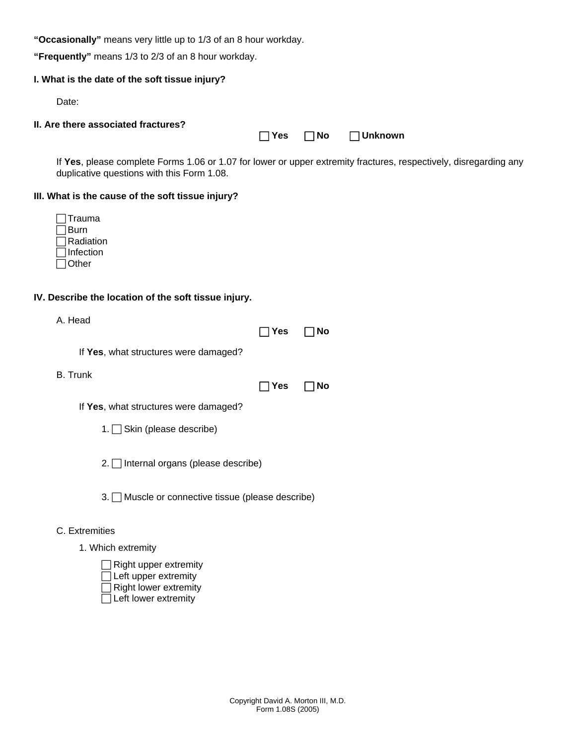**"Occasionally"** means very little up to 1/3 of an 8 hour workday.

**"Frequently"** means 1/3 to 2/3 of an 8 hour workday.

# **I. What is the date of the soft tissue injury?**

Date:

### **II. Are there associated fractures?**

If **Yes**, please complete Forms 1.06 or 1.07 for lower or upper extremity fractures, respectively, disregarding any duplicative questions with this Form 1.08.

F **Yes** F **No** F **Unknown** 

# **III. What is the cause of the soft tissue injury?**

| ∏rauma    |
|-----------|
| Burn      |
| Radiation |
| Infection |
| Other     |

# **IV. Describe the location of the soft tissue injury.**

| г |  | Head |  |
|---|--|------|--|
|---|--|------|--|

|                                                         | Yes        | No |
|---------------------------------------------------------|------------|----|
| If Yes, what structures were damaged?                   |            |    |
| <b>B.</b> Trunk                                         |            |    |
|                                                         | <b>Yes</b> | No |
| If Yes, what structures were damaged?                   |            |    |
| 1. $\Box$ Skin (please describe)                        |            |    |
| 2. Internal organs (please describe)                    |            |    |
| $3. \Box$ Muscle or connective tissue (please describe) |            |    |
| C. Extremities                                          |            |    |
| 1. Which extremity                                      |            |    |
| .                                                       |            |    |

| $\Box$ Right upper extremity |
|------------------------------|
| $\Box$ Left upper extremity  |
| $\Box$ Right lower extremity |
| $\Box$ Left lower extremity  |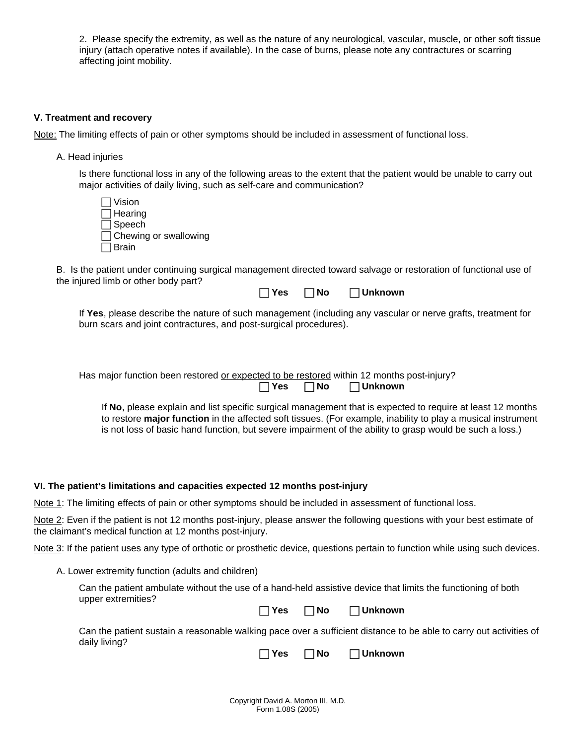2. Please specify the extremity, as well as the nature of any neurological, vascular, muscle, or other soft tissue injury (attach operative notes if available). In the case of burns, please note any contractures or scarring affecting joint mobility.

### **V. Treatment and recovery**

Note: The limiting effects of pain or other symptoms should be included in assessment of functional loss.

A. Head injuries

Is there functional loss in any of the following areas to the extent that the patient would be unable to carry out major activities of daily living, such as self-care and communication?

| $\Box$ Vision                |
|------------------------------|
| $\Box$ Hearing               |
| $\Box$ Speech                |
| $\Box$ Chewing or swallowing |
| $\Box$ Brain                 |

B. Is the patient under continuing surgical management directed toward salvage or restoration of functional use of the injured limb or other body part?

| l Yes | $\square$ No | $\Box$ Unknown |
|-------|--------------|----------------|
|-------|--------------|----------------|

If **Yes**, please describe the nature of such management (including any vascular or nerve grafts, treatment for burn scars and joint contractures, and post-surgical procedures).

Has major function been restored or expected to be restored within 12 months post-injury? F **Yes** F **No** F **Unknown** 

If **No**, please explain and list specific surgical management that is expected to require at least 12 months to restore **major function** in the affected soft tissues. (For example, inability to play a musical instrument is not loss of basic hand function, but severe impairment of the ability to grasp would be such a loss.)

**VI. The patient's limitations and capacities expected 12 months post-injury** 

Note 1: The limiting effects of pain or other symptoms should be included in assessment of functional loss.

Note 2: Even if the patient is not 12 months post-injury, please answer the following questions with your best estimate of the claimant's medical function at 12 months post-injury.

Note 3: If the patient uses any type of orthotic or prosthetic device, questions pertain to function while using such devices.

A. Lower extremity function (adults and children)

Can the patient ambulate without the use of a hand-held assistive device that limits the functioning of both upper extremities?

F **Yes** F **No** F **Unknown** 

Can the patient sustain a reasonable walking pace over a sufficient distance to be able to carry out activities of daily living?

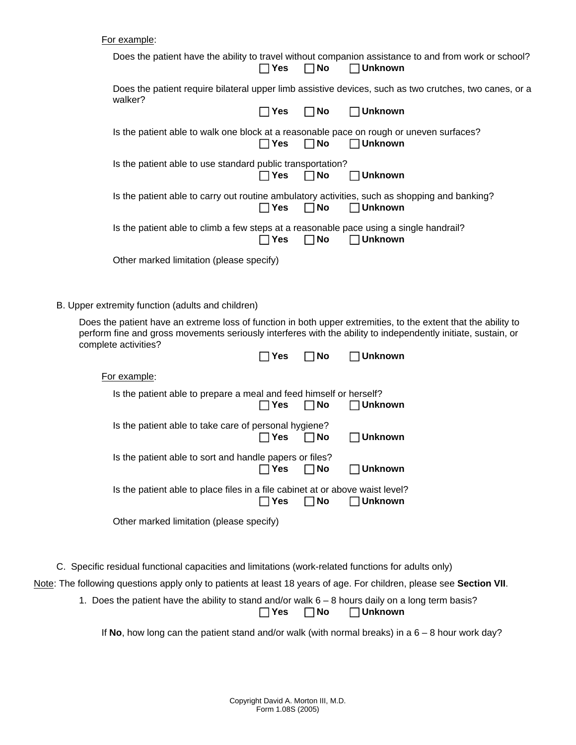| For example: |  |
|--------------|--|
|              |  |

| i vi viampio.                                                                           |              |           |                                                                                                                                                                                                                                 |
|-----------------------------------------------------------------------------------------|--------------|-----------|---------------------------------------------------------------------------------------------------------------------------------------------------------------------------------------------------------------------------------|
|                                                                                         | $\Box$ Yes   | $\Box$ No | Does the patient have the ability to travel without companion assistance to and from work or school?<br>$\Box$ Unknown                                                                                                          |
| walker?                                                                                 |              |           | Does the patient require bilateral upper limb assistive devices, such as two crutches, two canes, or a                                                                                                                          |
|                                                                                         | $\Box$ Yes   | <b>No</b> | $\Box$ Unknown                                                                                                                                                                                                                  |
| Is the patient able to walk one block at a reasonable pace on rough or uneven surfaces? | $\sqcap$ Yes | <b>No</b> | $\Box$ Unknown                                                                                                                                                                                                                  |
| Is the patient able to use standard public transportation?                              | $\Box$ Yes   | ∏ No      | $\Box$ Unknown                                                                                                                                                                                                                  |
|                                                                                         | $\Box$ Yes   | $\Box$ No | Is the patient able to carry out routine ambulatory activities, such as shopping and banking?<br>$\Box$ Unknown                                                                                                                 |
| Is the patient able to climb a few steps at a reasonable pace using a single handrail?  | ∃Yes         | $\Box$ No | $\Box$ Unknown                                                                                                                                                                                                                  |
| Other marked limitation (please specify)                                                |              |           |                                                                                                                                                                                                                                 |
| B. Upper extremity function (adults and children)                                       |              |           |                                                                                                                                                                                                                                 |
| complete activities?                                                                    |              |           | Does the patient have an extreme loss of function in both upper extremities, to the extent that the ability to<br>perform fine and gross movements seriously interferes with the ability to independently initiate, sustain, or |
|                                                                                         | $\sqcap$ Yes | <b>No</b> | $\Box$ Unknown                                                                                                                                                                                                                  |
| For example:                                                                            |              |           |                                                                                                                                                                                                                                 |
| Is the patient able to prepare a meal and feed himself or herself?                      | ∃Yes         | No        | <b>Unknown</b>                                                                                                                                                                                                                  |
| Is the patient able to take care of personal hygiene?                                   | ヿYes         | No        | <b>Unknown</b>                                                                                                                                                                                                                  |
| Is the patient able to sort and handle papers or files?                                 | Yes          | <b>No</b> | <b>Unknown</b>                                                                                                                                                                                                                  |
| Is the patient able to place files in a file cabinet at or above waist level?           | ∃Yes         | $\Box$ No | ∣Unknown                                                                                                                                                                                                                        |
| Other marked limitation (please specify)                                                |              |           |                                                                                                                                                                                                                                 |
|                                                                                         |              |           |                                                                                                                                                                                                                                 |
|                                                                                         |              |           |                                                                                                                                                                                                                                 |

C. Specific residual functional capacities and limitations (work-related functions for adults only)

Note: The following questions apply only to patients at least 18 years of age. For children, please see **Section VII**.

1. Does the patient have the ability to stand and/or walk 6 – 8 hours daily on a long term basis?

F **Yes** F **No** F **Unknown** 

If **No**, how long can the patient stand and/or walk (with normal breaks) in a 6 – 8 hour work day?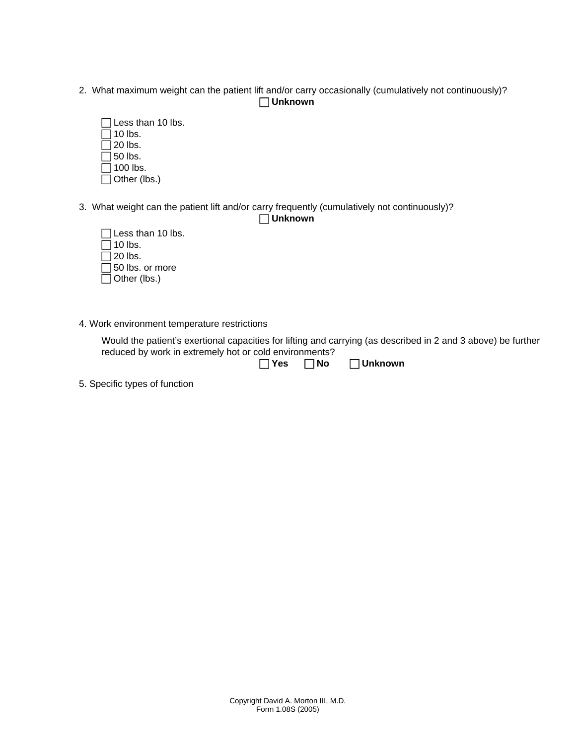2. What maximum weight can the patient lift and/or carry occasionally (cumulatively not continuously)? F **Unknown** 



3. What weight can the patient lift and/or carry frequently (cumulatively not continuously)?

F **Unknown** 

| $\Box$ Less than 10 lbs. |
|--------------------------|
| $\Box$ 10 lbs.           |
| $\Box$ 20 lbs.           |
| $\Box$ 50 lbs. or more   |
| $\Box$ Other (lbs.)      |

4. Work environment temperature restrictions

Would the patient's exertional capacities for lifting and carrying (as described in 2 and 3 above) be further reduced by work in extremely hot or cold environments?

| $\Box$ Yes | $\Box$ No | $\Box$ Unknown |
|------------|-----------|----------------|
|------------|-----------|----------------|

5. Specific types of function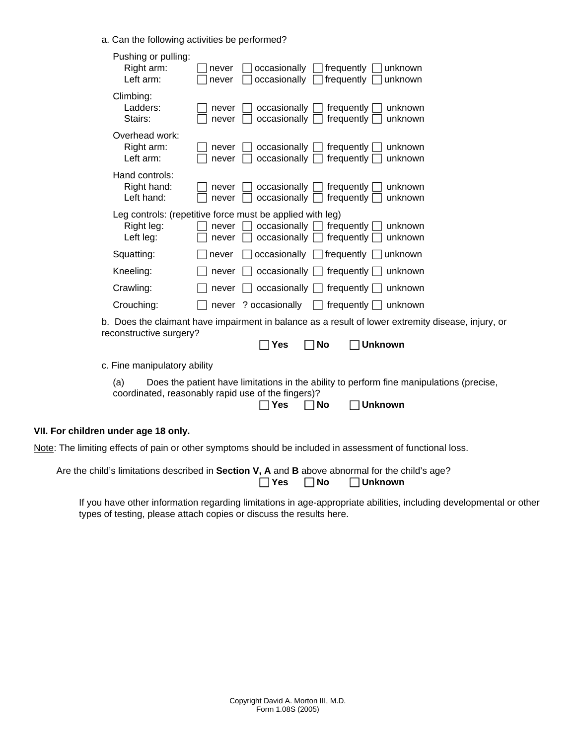a. Can the following activities be performed?

| Pushing or pulling:<br>Right arm:<br>occasionally<br>frequently<br>unknown<br>never<br>Left arm:<br>occasionally<br>frequently<br>unknown<br>never                                           |
|----------------------------------------------------------------------------------------------------------------------------------------------------------------------------------------------|
| Climbing:<br>Ladders:<br>$occasionally \Box$<br>frequently<br>unknown<br>never<br>Stairs:<br>occasionally [<br>unknown<br>frequently<br>never                                                |
| Overhead work:<br>Right arm:<br>occasionally [<br>frequently<br>unknown<br>never<br>Left arm:<br>$occasionally$ $\Box$<br>frequently<br>unknown<br>never                                     |
| Hand controls:<br>Right hand:<br>$occasionally \Box$<br>frequently<br>unknown<br>never<br>Left hand:<br>$occasionally$ $\Box$<br>unknown<br>frequently<br>never                              |
| Leg controls: (repetitive force must be applied with leg)<br>Right leg:<br>$occasionally \Box$ frequently<br>never<br>unknown<br>Left leg:<br>occasionally<br>frequently<br>unknown<br>never |
| Squatting:<br>$occasionally \Box$ frequently<br>never<br>unknown                                                                                                                             |
| Kneeling:<br>occasionally $\Box$ frequently $\Box$<br>unknown<br>never                                                                                                                       |
| Crawling:<br>occasionally $\Box$ frequently $\Box$<br>unknown<br>never                                                                                                                       |
| Crouching:<br>never ? occasionally<br>$\Box$ frequently $\Box$<br>unknown                                                                                                                    |
| b. Does the claimant have impairment in balance as a result of lower extremity disease, injury, or<br>reconstructive surgery?<br>مN ٦<br><b>Unknown</b><br>Yes                               |
|                                                                                                                                                                                              |
| c. Fine manipulatory ability                                                                                                                                                                 |
| Does the patient have limitations in the ability to perform fine manipulations (precise,<br>(a)<br>coordinated, reasonably rapid use of the fingers)?<br><b>Unknown</b><br>∣No<br>Yes        |
| VII. For children under age 18 only.                                                                                                                                                         |
| Note: The limiting effects of pain or other symptoms should be included in assessment of functional loss.                                                                                    |

| Are the child's limitations described in <b>Section V, A</b> and <b>B</b> above abnormal for the child's age? |  |                                     |
|---------------------------------------------------------------------------------------------------------------|--|-------------------------------------|
|                                                                                                               |  | $\Box$ Yes $\Box$ No $\Box$ Unknown |

If you have other information regarding limitations in age-appropriate abilities, including developmental or other types of testing, please attach copies or discuss the results here.